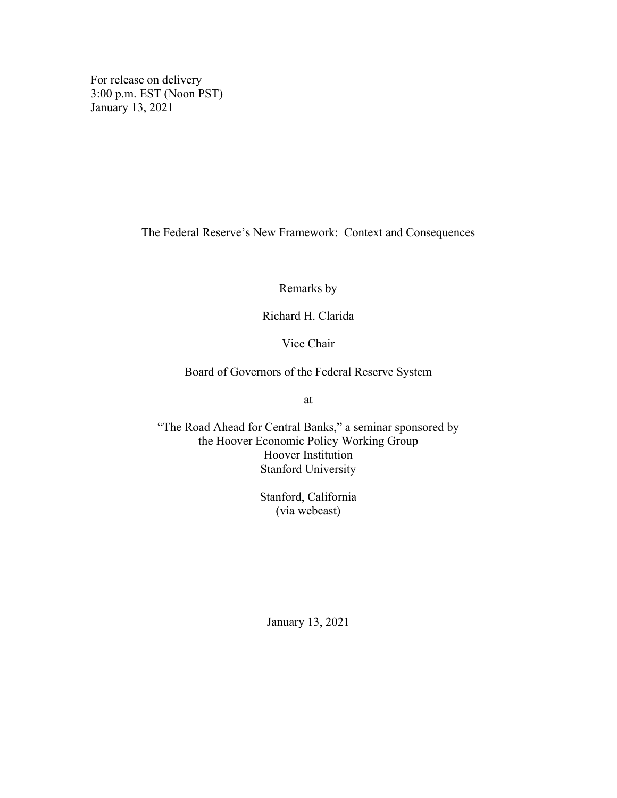For release on delivery 3:00 p.m. EST (Noon PST) January 13, 2021

The Federal Reserve's New Framework: Context and Consequences

Remarks by

Richard H. Clarida

Vice Chair

Board of Governors of the Federal Reserve System

at

"The Road Ahead for Central Banks," a seminar sponsored by the Hoover Economic Policy Working Group Hoover Institution Stanford University

> Stanford, California (via webcast)

January 13, 2021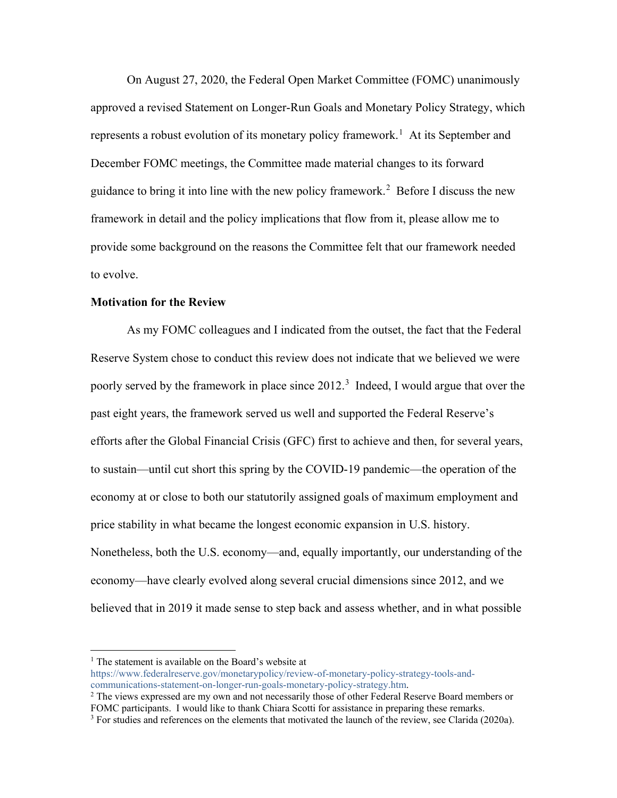On August 27, 2020, the Federal Open Market Committee (FOMC) unanimously approved a revised Statement on Longer-Run Goals and Monetary Policy Strategy, which represents a robust evolution of its monetary policy framework.<sup>[1](#page-1-0)</sup> At its September and December FOMC meetings, the Committee made material changes to its forward guidance to bring it into line with the new policy framework.<sup>[2](#page-1-1)</sup> Before I discuss the new framework in detail and the policy implications that flow from it, please allow me to provide some background on the reasons the Committee felt that our framework needed to evolve.

### **Motivation for the Review**

As my FOMC colleagues and I indicated from the outset, the fact that the Federal Reserve System chose to conduct this review does not indicate that we believed we were poorly served by the framework in place since 2012.<sup>[3](#page-1-2)</sup> Indeed, I would argue that over the past eight years, the framework served us well and supported the Federal Reserve's efforts after the Global Financial Crisis (GFC) first to achieve and then, for several years, to sustain—until cut short this spring by the COVID-19 pandemic—the operation of the economy at or close to both our statutorily assigned goals of maximum employment and price stability in what became the longest economic expansion in U.S. history. Nonetheless, both the U.S. economy—and, equally importantly, our understanding of the economy—have clearly evolved along several crucial dimensions since 2012, and we believed that in 2019 it made sense to step back and assess whether, and in what possible

<span id="page-1-0"></span> $<sup>1</sup>$  The statement is available on the Board's website at</sup>

[https://www.federalreserve.gov/monetarypolicy/review-of-monetary-policy-strategy-tools-and](https://www.federalreserve.gov/monetarypolicy/review-of-monetary-policy-strategy-tools-and-communications-statement-on-longer-run-goals-monetary-policy-strategy.htm)[communications-statement-on-longer-run-goals-monetary-policy-strategy.htm.](https://www.federalreserve.gov/monetarypolicy/review-of-monetary-policy-strategy-tools-and-communications-statement-on-longer-run-goals-monetary-policy-strategy.htm)

<span id="page-1-1"></span> $2$  The views expressed are my own and not necessarily those of other Federal Reserve Board members or FOMC participants. I would like to thank Chiara Scotti for assistance in preparing these remarks.

<span id="page-1-2"></span> $3$  For studies and references on the elements that motivated the launch of the review, see Clarida (2020a).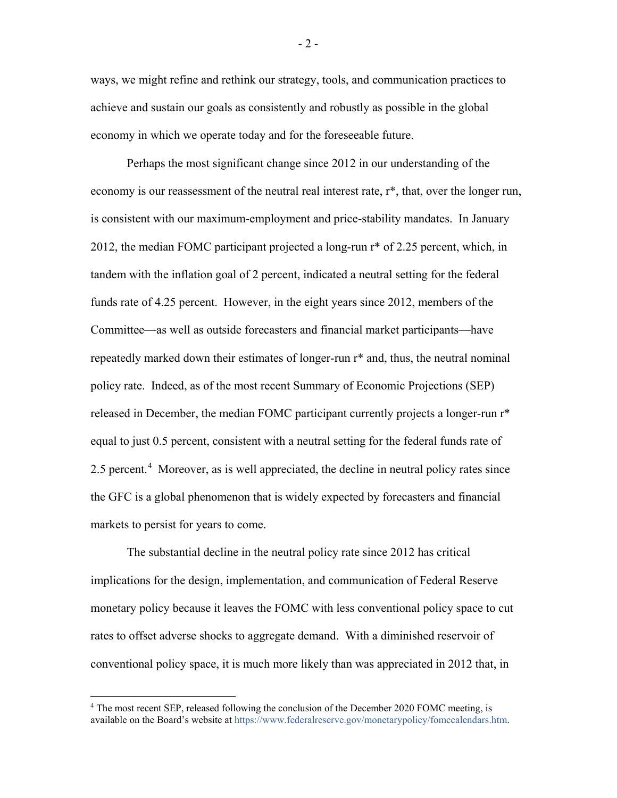ways, we might refine and rethink our strategy, tools, and communication practices to achieve and sustain our goals as consistently and robustly as possible in the global economy in which we operate today and for the foreseeable future.

Perhaps the most significant change since 2012 in our understanding of the economy is our reassessment of the neutral real interest rate, r\*, that, over the longer run, is consistent with our maximum-employment and price-stability mandates. In January 2012, the median FOMC participant projected a long-run r\* of 2.25 percent, which, in tandem with the inflation goal of 2 percent, indicated a neutral setting for the federal funds rate of 4.25 percent. However, in the eight years since 2012, members of the Committee—as well as outside forecasters and financial market participants—have repeatedly marked down their estimates of longer-run r\* and, thus, the neutral nominal policy rate. Indeed, as of the most recent Summary of Economic Projections (SEP) released in December, the median FOMC participant currently projects a longer-run r\* equal to just 0.5 percent, consistent with a neutral setting for the federal funds rate of 2.5 percent.<sup>[4](#page-2-0)</sup> Moreover, as is well appreciated, the decline in neutral policy rates since the GFC is a global phenomenon that is widely expected by forecasters and financial markets to persist for years to come.

The substantial decline in the neutral policy rate since 2012 has critical implications for the design, implementation, and communication of Federal Reserve monetary policy because it leaves the FOMC with less conventional policy space to cut rates to offset adverse shocks to aggregate demand. With a diminished reservoir of conventional policy space, it is much more likely than was appreciated in 2012 that, in

- 2 -

<span id="page-2-0"></span> <sup>4</sup> The most recent SEP, released following the conclusion of the December 2020 FOMC meeting, is available on the Board's website a[t https://www.federalreserve.gov/monetarypolicy/fomccalendars.htm.](https://www.federalreserve.gov/monetarypolicy/fomccalendars.htm)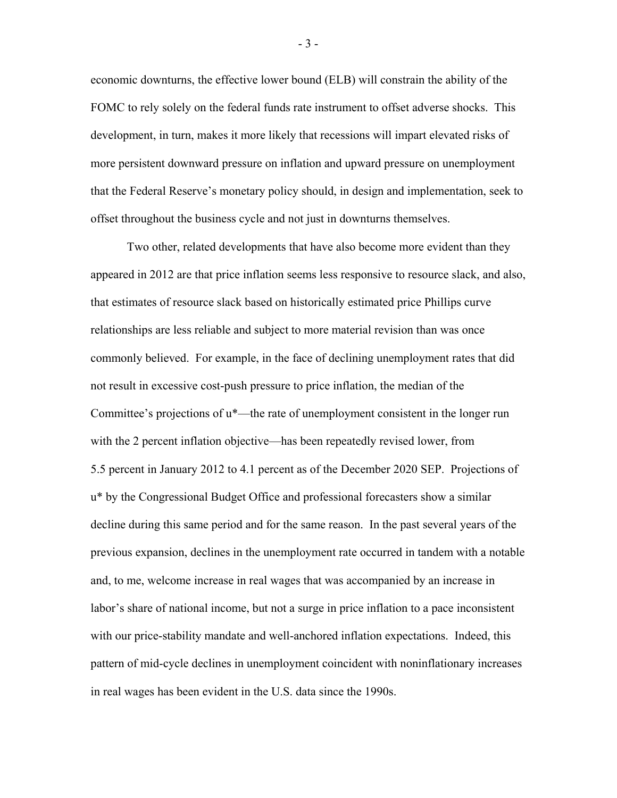economic downturns, the effective lower bound (ELB) will constrain the ability of the FOMC to rely solely on the federal funds rate instrument to offset adverse shocks. This development, in turn, makes it more likely that recessions will impart elevated risks of more persistent downward pressure on inflation and upward pressure on unemployment that the Federal Reserve's monetary policy should, in design and implementation, seek to offset throughout the business cycle and not just in downturns themselves.

Two other, related developments that have also become more evident than they appeared in 2012 are that price inflation seems less responsive to resource slack, and also, that estimates of resource slack based on historically estimated price Phillips curve relationships are less reliable and subject to more material revision than was once commonly believed. For example, in the face of declining unemployment rates that did not result in excessive cost-push pressure to price inflation, the median of the Committee's projections of u\*—the rate of unemployment consistent in the longer run with the 2 percent inflation objective—has been repeatedly revised lower, from 5.5 percent in January 2012 to 4.1 percent as of the December 2020 SEP. Projections of u\* by the Congressional Budget Office and professional forecasters show a similar decline during this same period and for the same reason. In the past several years of the previous expansion, declines in the unemployment rate occurred in tandem with a notable and, to me, welcome increase in real wages that was accompanied by an increase in labor's share of national income, but not a surge in price inflation to a pace inconsistent with our price-stability mandate and well-anchored inflation expectations. Indeed, this pattern of mid-cycle declines in unemployment coincident with noninflationary increases in real wages has been evident in the U.S. data since the 1990s.

- 3 -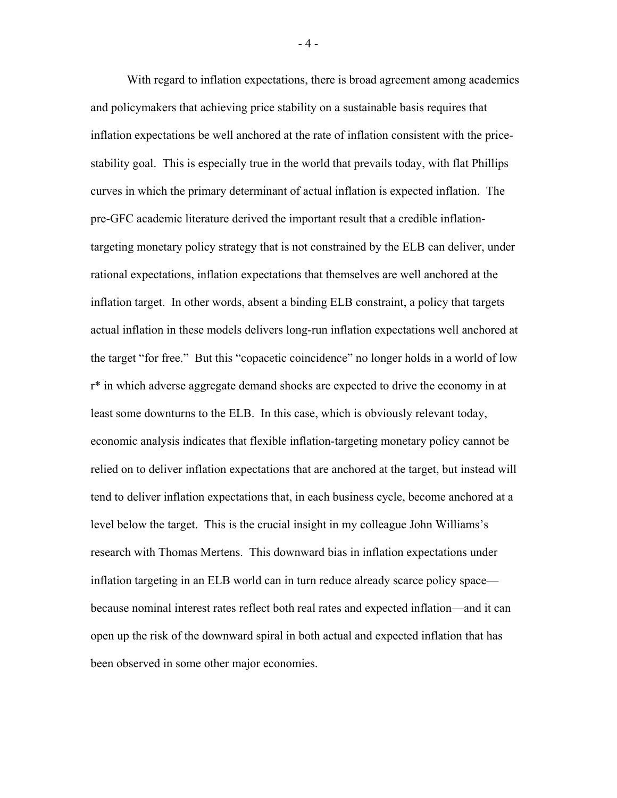With regard to inflation expectations, there is broad agreement among academics and policymakers that achieving price stability on a sustainable basis requires that inflation expectations be well anchored at the rate of inflation consistent with the pricestability goal. This is especially true in the world that prevails today, with flat Phillips curves in which the primary determinant of actual inflation is expected inflation. The pre-GFC academic literature derived the important result that a credible inflationtargeting monetary policy strategy that is not constrained by the ELB can deliver, under rational expectations, inflation expectations that themselves are well anchored at the inflation target. In other words, absent a binding ELB constraint, a policy that targets actual inflation in these models delivers long-run inflation expectations well anchored at the target "for free." But this "copacetic coincidence" no longer holds in a world of low r\* in which adverse aggregate demand shocks are expected to drive the economy in at least some downturns to the ELB. In this case, which is obviously relevant today, economic analysis indicates that flexible inflation-targeting monetary policy cannot be relied on to deliver inflation expectations that are anchored at the target, but instead will tend to deliver inflation expectations that, in each business cycle, become anchored at a level below the target. This is the crucial insight in my colleague John Williams's research with Thomas Mertens. This downward bias in inflation expectations under inflation targeting in an ELB world can in turn reduce already scarce policy space because nominal interest rates reflect both real rates and expected inflation—and it can open up the risk of the downward spiral in both actual and expected inflation that has been observed in some other major economies.

- 4 -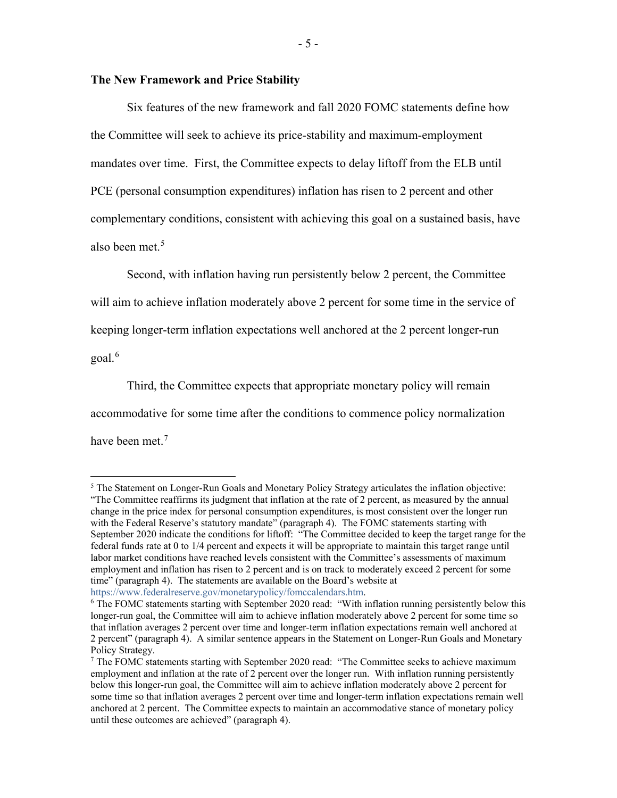### **The New Framework and Price Stability**

Six features of the new framework and fall 2020 FOMC statements define how the Committee will seek to achieve its price-stability and maximum-employment mandates over time. First, the Committee expects to delay liftoff from the ELB until PCE (personal consumption expenditures) inflation has risen to 2 percent and other complementary conditions, consistent with achieving this goal on a sustained basis, have also been met.<sup>[5](#page-5-0)</sup>

Second, with inflation having run persistently below 2 percent, the Committee will aim to achieve inflation moderately above 2 percent for some time in the service of keeping longer-term inflation expectations well anchored at the 2 percent longer-run goal.<sup>[6](#page-5-1)</sup>

Third, the Committee expects that appropriate monetary policy will remain accommodative for some time after the conditions to commence policy normalization have been met.<sup>[7](#page-5-2)</sup>

<span id="page-5-0"></span> $<sup>5</sup>$  The Statement on Longer-Run Goals and Monetary Policy Strategy articulates the inflation objective:</sup> "The Committee reaffirms its judgment that inflation at the rate of  $\overline{2}$  percent, as measured by the annual change in the price index for personal consumption expenditures, is most consistent over the longer run with the Federal Reserve's statutory mandate" (paragraph 4). The FOMC statements starting with September 2020 indicate the conditions for liftoff: "The Committee decided to keep the target range for the federal funds rate at 0 to 1/4 percent and expects it will be appropriate to maintain this target range until labor market conditions have reached levels consistent with the Committee's assessments of maximum employment and inflation has risen to 2 percent and is on track to moderately exceed 2 percent for some time" (paragraph 4). The statements are available on the Board's website at [https://www.federalreserve.gov/monetarypolicy/fomccalendars.htm.](https://www.federalreserve.gov/monetarypolicy/fomccalendars.htm)

<span id="page-5-1"></span><sup>6</sup> The FOMC statements starting with September 2020 read: "With inflation running persistently below this longer-run goal, the Committee will aim to achieve inflation moderately above 2 percent for some time so that inflation averages 2 percent over time and longer-term inflation expectations remain well anchored at 2 percent" (paragraph 4). A similar sentence appears in the Statement on Longer-Run Goals and Monetary Policy Strategy.

<span id="page-5-2"></span> $<sup>7</sup>$  The FOMC statements starting with September 2020 read: "The Committee seeks to achieve maximum</sup> employment and inflation at the rate of 2 percent over the longer run. With inflation running persistently below this longer-run goal, the Committee will aim to achieve inflation moderately above 2 percent for some time so that inflation averages 2 percent over time and longer-term inflation expectations remain well anchored at 2 percent. The Committee expects to maintain an accommodative stance of monetary policy until these outcomes are achieved" (paragraph 4).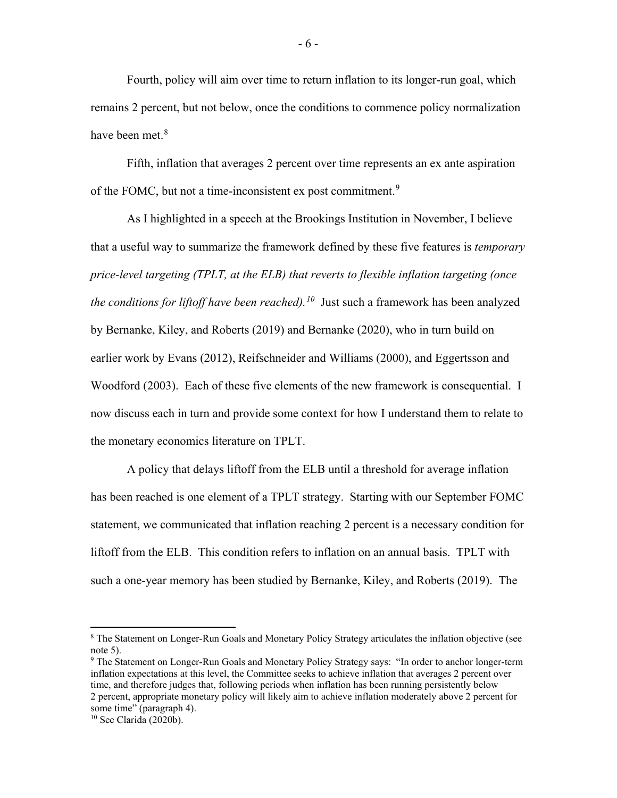Fourth, policy will aim over time to return inflation to its longer-run goal, which remains 2 percent, but not below, once the conditions to commence policy normalization have been met.<sup>[8](#page-6-0)</sup>

Fifth, inflation that averages 2 percent over time represents an ex ante aspiration of the FOMC, but not a time-inconsistent ex post commitment.<sup>[9](#page-6-1)</sup>

As I highlighted in a speech at the Brookings Institution in November, I believe that a useful way to summarize the framework defined by these five features is *temporary price-level targeting (TPLT, at the ELB) that reverts to flexible inflation targeting (once the conditions for liftoff have been reached).[10](#page-6-2)* Just such a framework has been analyzed by Bernanke, Kiley, and Roberts (2019) and Bernanke (2020), who in turn build on earlier work by Evans (2012), Reifschneider and Williams (2000), and Eggertsson and Woodford (2003). Each of these five elements of the new framework is consequential. I now discuss each in turn and provide some context for how I understand them to relate to the monetary economics literature on TPLT.

A policy that delays liftoff from the ELB until a threshold for average inflation has been reached is one element of a TPLT strategy. Starting with our September FOMC statement, we communicated that inflation reaching 2 percent is a necessary condition for liftoff from the ELB. This condition refers to inflation on an annual basis. TPLT with such a one-year memory has been studied by Bernanke, Kiley, and Roberts (2019). The

<span id="page-6-0"></span> <sup>8</sup> The Statement on Longer-Run Goals and Monetary Policy Strategy articulates the inflation objective (see note 5).

<span id="page-6-1"></span><sup>9</sup> The Statement on Longer-Run Goals and Monetary Policy Strategy says: "In order to anchor longer-term inflation expectations at this level, the Committee seeks to achieve inflation that averages 2 percent over time, and therefore judges that, following periods when inflation has been running persistently below 2 percent, appropriate monetary policy will likely aim to achieve inflation moderately above 2 percent for some time" (paragraph 4).

<span id="page-6-2"></span><sup>10</sup> See Clarida (2020b).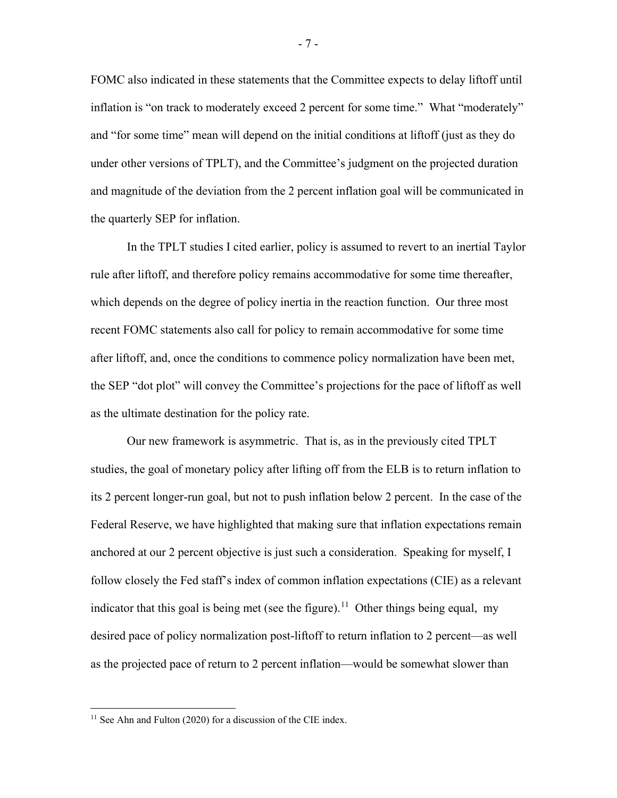FOMC also indicated in these statements that the Committee expects to delay liftoff until inflation is "on track to moderately exceed 2 percent for some time." What "moderately" and "for some time" mean will depend on the initial conditions at liftoff (just as they do under other versions of TPLT), and the Committee's judgment on the projected duration and magnitude of the deviation from the 2 percent inflation goal will be communicated in the quarterly SEP for inflation.

In the TPLT studies I cited earlier, policy is assumed to revert to an inertial Taylor rule after liftoff, and therefore policy remains accommodative for some time thereafter, which depends on the degree of policy inertia in the reaction function. Our three most recent FOMC statements also call for policy to remain accommodative for some time after liftoff, and, once the conditions to commence policy normalization have been met, the SEP "dot plot" will convey the Committee's projections for the pace of liftoff as well as the ultimate destination for the policy rate.

Our new framework is asymmetric. That is, as in the previously cited TPLT studies, the goal of monetary policy after lifting off from the ELB is to return inflation to its 2 percent longer-run goal, but not to push inflation below 2 percent. In the case of the Federal Reserve, we have highlighted that making sure that inflation expectations remain anchored at our 2 percent objective is just such a consideration. Speaking for myself, I follow closely the Fed staff's index of common inflation expectations (CIE) as a relevant indicator that this goal is being met (see the figure).<sup>[11](#page-7-0)</sup> Other things being equal, my desired pace of policy normalization post-liftoff to return inflation to 2 percent—as well as the projected pace of return to 2 percent inflation—would be somewhat slower than

<span id="page-7-0"></span><sup>&</sup>lt;sup>11</sup> See Ahn and Fulton (2020) for a discussion of the CIE index.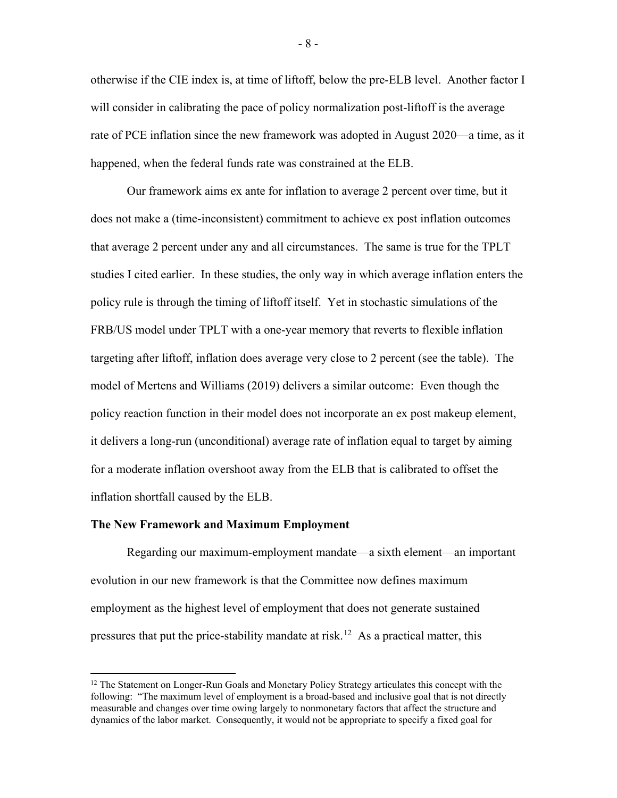otherwise if the CIE index is, at time of liftoff, below the pre-ELB level. Another factor I will consider in calibrating the pace of policy normalization post-liftoff is the average rate of PCE inflation since the new framework was adopted in August 2020—a time, as it happened, when the federal funds rate was constrained at the ELB.

Our framework aims ex ante for inflation to average 2 percent over time, but it does not make a (time-inconsistent) commitment to achieve ex post inflation outcomes that average 2 percent under any and all circumstances. The same is true for the TPLT studies I cited earlier. In these studies, the only way in which average inflation enters the policy rule is through the timing of liftoff itself. Yet in stochastic simulations of the FRB/US model under TPLT with a one-year memory that reverts to flexible inflation targeting after liftoff, inflation does average very close to 2 percent (see the table). The model of Mertens and Williams (2019) delivers a similar outcome: Even though the policy reaction function in their model does not incorporate an ex post makeup element, it delivers a long-run (unconditional) average rate of inflation equal to target by aiming for a moderate inflation overshoot away from the ELB that is calibrated to offset the inflation shortfall caused by the ELB.

#### **The New Framework and Maximum Employment**

Regarding our maximum-employment mandate—a sixth element—an important evolution in our new framework is that the Committee now defines maximum employment as the highest level of employment that does not generate sustained pressures that put the price-stability mandate at risk.<sup>[12](#page-8-0)</sup> As a practical matter, this

<span id="page-8-0"></span><sup>&</sup>lt;sup>12</sup> The Statement on Longer-Run Goals and Monetary Policy Strategy articulates this concept with the following: "The maximum level of employment is a broad-based and inclusive goal that is not directly measurable and changes over time owing largely to nonmonetary factors that affect the structure and dynamics of the labor market. Consequently, it would not be appropriate to specify a fixed goal for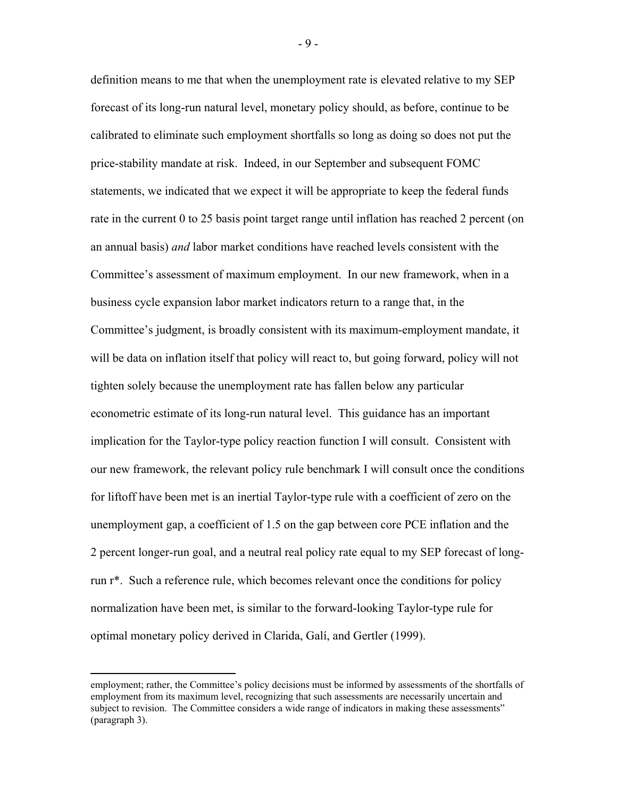definition means to me that when the unemployment rate is elevated relative to my SEP forecast of its long-run natural level, monetary policy should, as before, continue to be calibrated to eliminate such employment shortfalls so long as doing so does not put the price-stability mandate at risk. Indeed, in our September and subsequent FOMC statements, we indicated that we expect it will be appropriate to keep the federal funds rate in the current 0 to 25 basis point target range until inflation has reached 2 percent (on an annual basis) *and* labor market conditions have reached levels consistent with the Committee's assessment of maximum employment. In our new framework, when in a business cycle expansion labor market indicators return to a range that, in the Committee's judgment, is broadly consistent with its maximum-employment mandate, it will be data on inflation itself that policy will react to, but going forward, policy will not tighten solely because the unemployment rate has fallen below any particular econometric estimate of its long-run natural level. This guidance has an important implication for the Taylor-type policy reaction function I will consult. Consistent with our new framework, the relevant policy rule benchmark I will consult once the conditions for liftoff have been met is an inertial Taylor-type rule with a coefficient of zero on the unemployment gap, a coefficient of 1.5 on the gap between core PCE inflation and the 2 percent longer-run goal, and a neutral real policy rate equal to my SEP forecast of longrun r\*. Such a reference rule, which becomes relevant once the conditions for policy normalization have been met, is similar to the forward-looking Taylor-type rule for optimal monetary policy derived in Clarida, Galí, and Gertler (1999).

- 9 -

employment; rather, the Committee's policy decisions must be informed by assessments of the shortfalls of employment from its maximum level, recognizing that such assessments are necessarily uncertain and subject to revision. The Committee considers a wide range of indicators in making these assessments" (paragraph 3).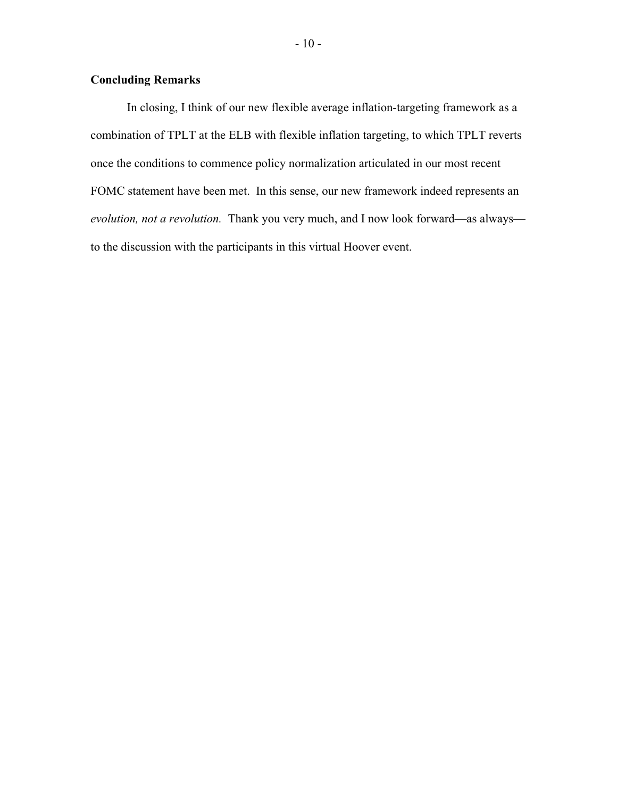# **Concluding Remarks**

In closing, I think of our new flexible average inflation-targeting framework as a combination of TPLT at the ELB with flexible inflation targeting, to which TPLT reverts once the conditions to commence policy normalization articulated in our most recent FOMC statement have been met. In this sense, our new framework indeed represents an *evolution, not a revolution.* Thank you very much, and I now look forward—as always to the discussion with the participants in this virtual Hoover event.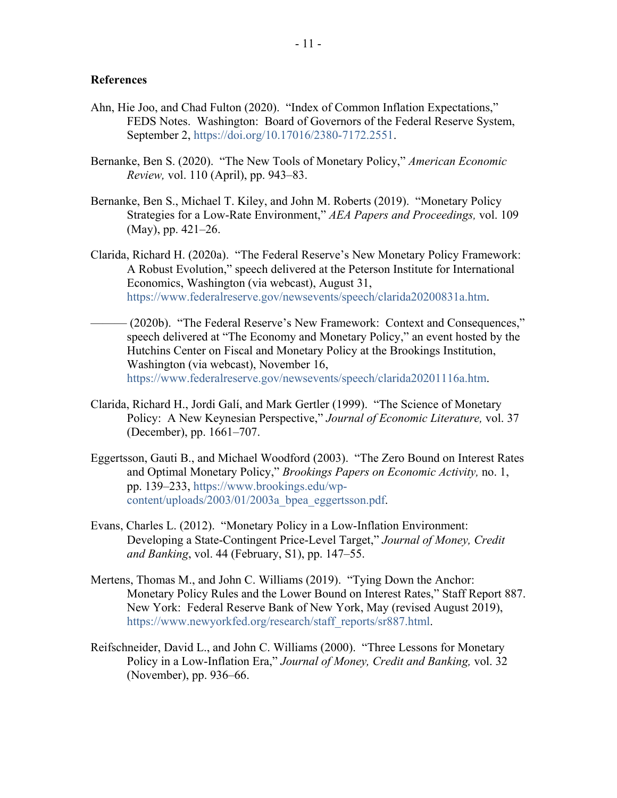## **References**

- Ahn, Hie Joo, and Chad Fulton (2020). "Index of Common Inflation Expectations," FEDS Notes. Washington: Board of Governors of the Federal Reserve System, September 2, [https://doi.org/10.17016/2380-7172.2551.](https://doi.org/10.17016/2380-7172.2551)
- Bernanke, Ben S. (2020). "The New Tools of Monetary Policy," *American Economic Review,* vol. 110 (April), pp. 943–83.
- Bernanke, Ben S., Michael T. Kiley, and John M. Roberts (2019). "Monetary Policy Strategies for a Low-Rate Environment," *AEA Papers and Proceedings,* vol. 109 (May), pp. 421–26.
- Clarida, Richard H. (2020a). "The Federal Reserve's New Monetary Policy Framework: A Robust Evolution," speech delivered at the Peterson Institute for International Economics, Washington (via webcast), August 31, [https://www.federalreserve.gov/newsevents/speech/clarida20200831a.htm.](https://www.federalreserve.gov/newsevents/speech/clarida20200831a.htm)
- (2020b). "The Federal Reserve's New Framework: Context and Consequences," speech delivered at "The Economy and Monetary Policy," an event hosted by the Hutchins Center on Fiscal and Monetary Policy at the Brookings Institution, Washington (via webcast), November 16, [https://www.federalreserve.gov/newsevents/speech/clarida20201116a.htm.](https://www.federalreserve.gov/newsevents/speech/clarida20201116a.htm)
- Clarida, Richard H., Jordi Galí, and Mark Gertler (1999). "The Science of Monetary Policy: A New Keynesian Perspective," *Journal of Economic Literature,* vol. 37 (December), pp. 1661–707.
- Eggertsson, Gauti B., and Michael Woodford (2003). "The Zero Bound on Interest Rates and Optimal Monetary Policy," *Brookings Papers on Economic Activity,* no. 1, pp. 139–233, [https://www.brookings.edu/wp](https://www.brookings.edu/wp-content/uploads/2003/01/2003a_bpea_eggertsson.pdf)[content/uploads/2003/01/2003a\\_bpea\\_eggertsson.pdf.](https://www.brookings.edu/wp-content/uploads/2003/01/2003a_bpea_eggertsson.pdf)
- Evans, Charles L. (2012). "Monetary Policy in a Low-Inflation Environment: Developing a State-Contingent Price-Level Target," *Journal of Money, Credit and Banking*, vol. 44 (February, S1), pp. 147–55.
- Mertens, Thomas M., and John C. Williams (2019). "Tying Down the Anchor: Monetary Policy Rules and the Lower Bound on Interest Rates," Staff Report 887. New York: Federal Reserve Bank of New York, May (revised August 2019), [https://www.newyorkfed.org/research/staff\\_reports/sr887.html.](https://www.newyorkfed.org/research/staff_reports/sr887.html)
- Reifschneider, David L., and John C. Williams (2000). "Three Lessons for Monetary Policy in a Low-Inflation Era," *Journal of Money, Credit and Banking,* vol. 32 (November), pp. 936–66.